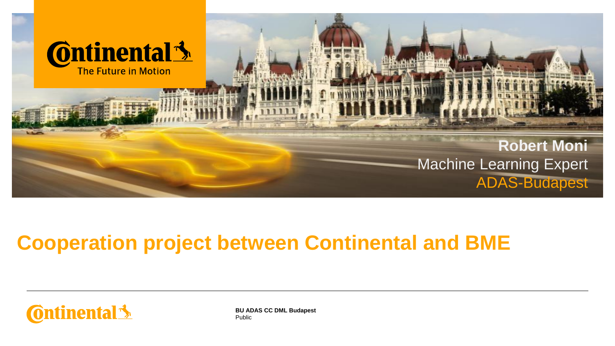

## **Cooperation project between Continental and BME**



Public **BU ADAS CC DML Budapest**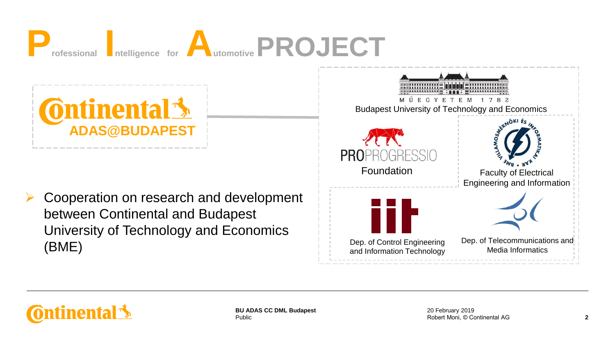



**ontinental \*** 

Public **BU ADAS CC DML Budapest**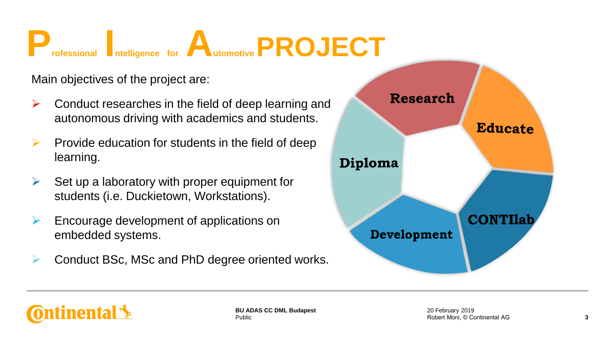

Main objectives of the project are:

- $\triangleright$  Conduct researches in the field of deep learning and autonomous driving with academics and students.
- $\triangleright$  Provide education for students in the field of deep learning.
- $\triangleright$  Set up a laboratory with proper equipment for students (i.e. Duckietown, Workstations).
- $\triangleright$  Encourage development of applications on embedded systems.
- ➢ Conduct BSc, MSc and PhD degree oriented works.



onfinental **S**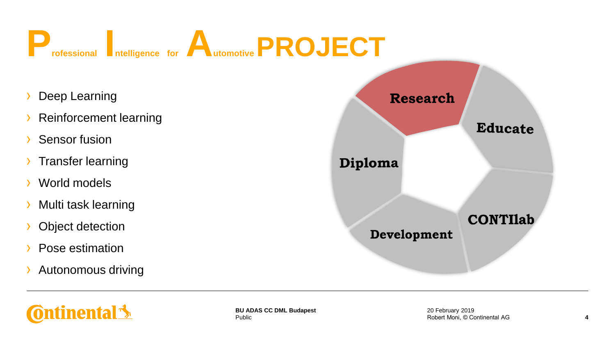

- Deep Learning
- **Reinforcement learning**
- Sensor fusion
- › Transfer learning
- World models
- › Multi task learning
- Object detection
- Pose estimation
- › Autonomous driving



**Ontinental 3** 

Public **BU ADAS CC DML Budapest**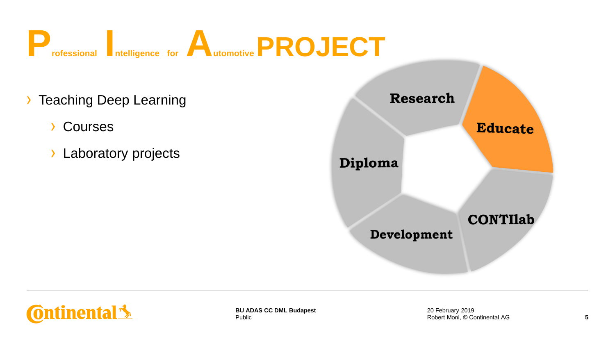

- › Teaching Deep Learning
	- › Courses
	- › Laboratory projects





Public **BU ADAS CC DML Budapest**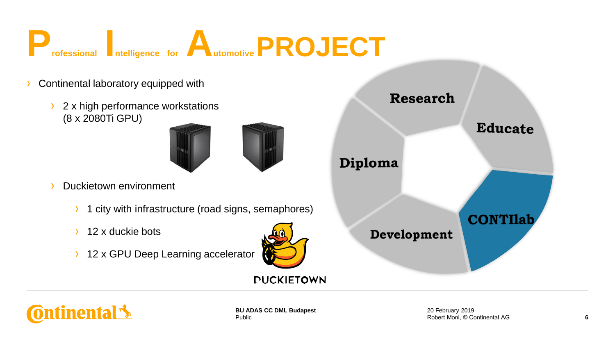

- Continental laboratory equipped with
	- 2 x high performance workstations (8 x 2080Ti GPU)



- Duckietown environment
	- 1 city with infrastructure (road signs, semaphores)
	- 12 x duckie bots
	- **12 x GPU Deep Learning accelerator**



*DUCKIETOWN* 





Public **BU ADAS CC DML Budapest**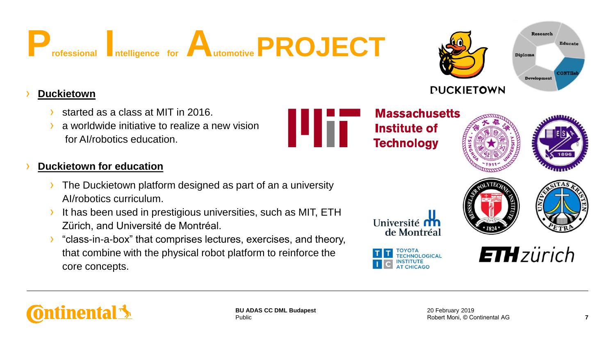

#### › **Duckietown**

- started as a class at MIT in 2016.
- a worldwide initiative to realize a new vision for AI/robotics education.

#### **Duckietown for education**

- The Duckietown platform designed as part of an a university AI/robotics curriculum.
- It has been used in prestigious universities, such as MIT, ETH Zürich, and Université de Montréal.
- › "class-in-a-box" that comprises lectures, exercises, and theory, that combine with the physical robot platform to reinforce the core concepts.

**Massachusetts Institute of Technology** 



Research

Development

**Diploma** 

**Educate** 

**CONTIL** 









**ETH** zürich



ш

*DUCKIETOWN*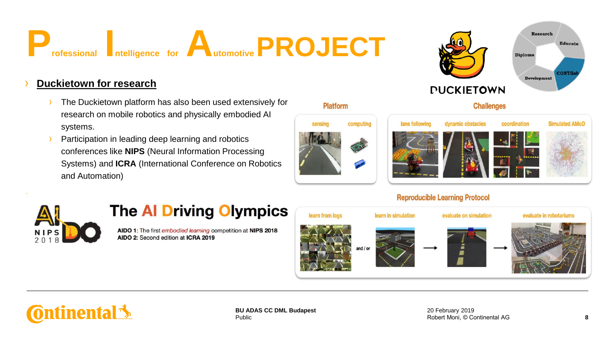

#### **Duckietown for research**

- The Duckietown platform has also been used extensively for research on mobile robotics and physically embodied AI systems.
- Participation in leading deep learning and robotics conferences like **NIPS** (Neural Information Processing Systems) and **ICRA** (International Conference on Robotics and Automation)





*DUCKIETOWN* 





**Simulated AMoD** 

**Educate** 

**CONTIIE** 

Research

**Development** 

**Diploma** 

#### **Reproducible Learning Protocol**



### **The Al Driving Olympics**

AIDO 1: The first embodied learning competition at NIPS 2018 AIDO 2: Second edition at ICRA 2019





Public **BU ADAS CC DML Budapest**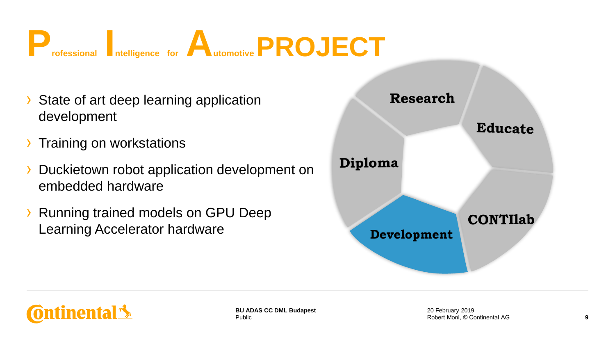

- › State of art deep learning application development
- › Training on workstations
- Duckietown robot application development on embedded hardware
- › Running trained models on GPU Deep Learning Accelerator hardware



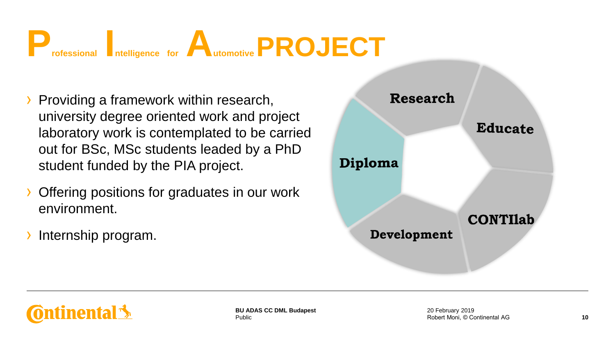

- › Providing a framework within research, university degree oriented work and project laboratory work is contemplated to be carried out for BSc, MSc students leaded by a PhD student funded by the PIA project.
- › Offering positions for graduates in our work environment.
- Internship program.





Public **BU ADAS CC DML Budapest**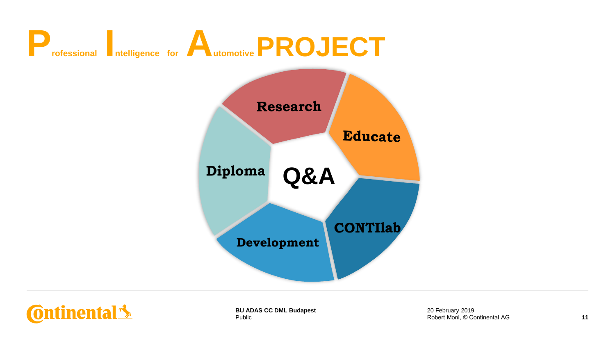



Public **BU ADAS CC DML Budapest**